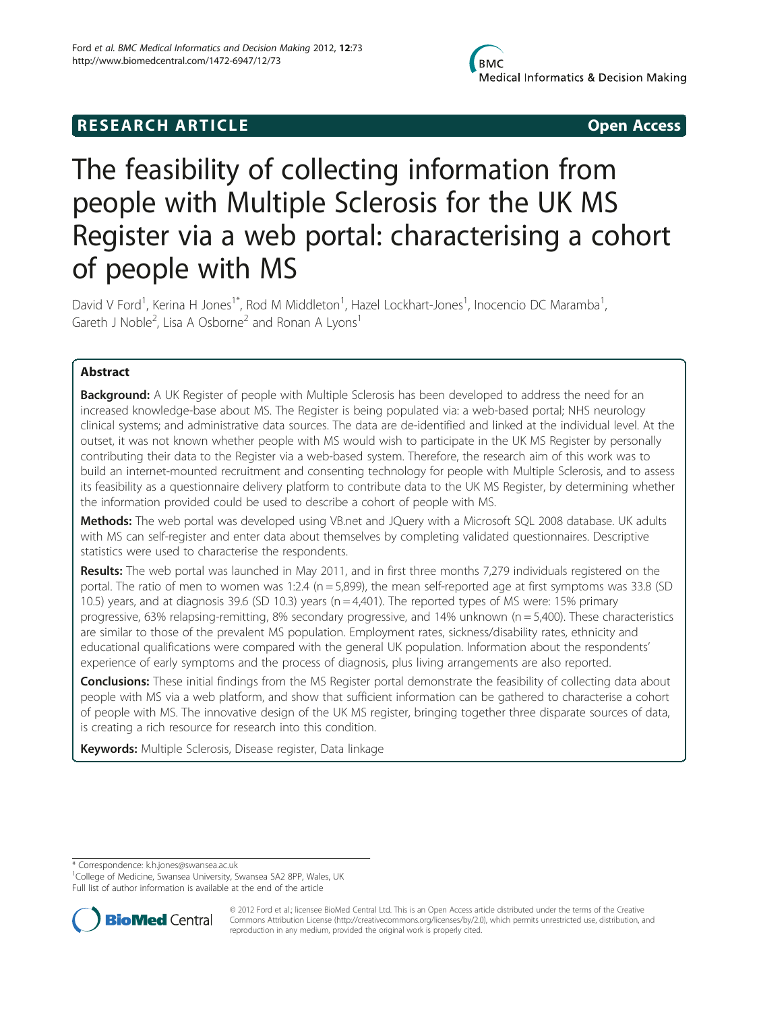# **RESEARCH ARTICLE CONSUMING A RESEARCH ARTICLE**

# The feasibility of collecting information from people with Multiple Sclerosis for the UK MS Register via a web portal: characterising a cohort of people with MS

David V Ford<sup>1</sup>, Kerina H Jones<sup>1\*</sup>, Rod M Middleton<sup>1</sup>, Hazel Lockhart-Jones<sup>1</sup>, Inocencio DC Maramba<sup>1</sup> , Gareth J Noble<sup>2</sup>, Lisa A Osborne<sup>2</sup> and Ronan A Lyons<sup>1</sup>

# Abstract

Background: A UK Register of people with Multiple Sclerosis has been developed to address the need for an increased knowledge-base about MS. The Register is being populated via: a web-based portal; NHS neurology clinical systems; and administrative data sources. The data are de-identified and linked at the individual level. At the outset, it was not known whether people with MS would wish to participate in the UK MS Register by personally contributing their data to the Register via a web-based system. Therefore, the research aim of this work was to build an internet-mounted recruitment and consenting technology for people with Multiple Sclerosis, and to assess its feasibility as a questionnaire delivery platform to contribute data to the UK MS Register, by determining whether the information provided could be used to describe a cohort of people with MS.

Methods: The web portal was developed using VB.net and JQuery with a Microsoft SQL 2008 database. UK adults with MS can self-register and enter data about themselves by completing validated questionnaires. Descriptive statistics were used to characterise the respondents.

Results: The web portal was launched in May 2011, and in first three months 7,279 individuals registered on the portal. The ratio of men to women was 1:2.4 ( $n = 5,899$ ), the mean self-reported age at first symptoms was 33.8 (SD 10.5) years, and at diagnosis 39.6 (SD 10.3) years (n = 4,401). The reported types of MS were: 15% primary progressive, 63% relapsing-remitting, 8% secondary progressive, and 14% unknown (n = 5,400). These characteristics are similar to those of the prevalent MS population. Employment rates, sickness/disability rates, ethnicity and educational qualifications were compared with the general UK population. Information about the respondents' experience of early symptoms and the process of diagnosis, plus living arrangements are also reported.

Conclusions: These initial findings from the MS Register portal demonstrate the feasibility of collecting data about people with MS via a web platform, and show that sufficient information can be gathered to characterise a cohort of people with MS. The innovative design of the UK MS register, bringing together three disparate sources of data, is creating a rich resource for research into this condition.

Keywords: Multiple Sclerosis, Disease register, Data linkage

\* Correspondence: [k.h.jones@swansea.ac.uk](mailto:k.h.jones@swansea.ac.uk) <sup>1</sup>

<sup>1</sup>College of Medicine, Swansea University, Swansea SA2 8PP, Wales, UK Full list of author information is available at the end of the article



© 2012 Ford et al.; licensee BioMed Central Ltd. This is an Open Access article distributed under the terms of the Creative Commons Attribution License [\(http://creativecommons.org/licenses/by/2.0\)](http://creativecommons.org/licenses/by/2.0), which permits unrestricted use, distribution, and reproduction in any medium, provided the original work is properly cited.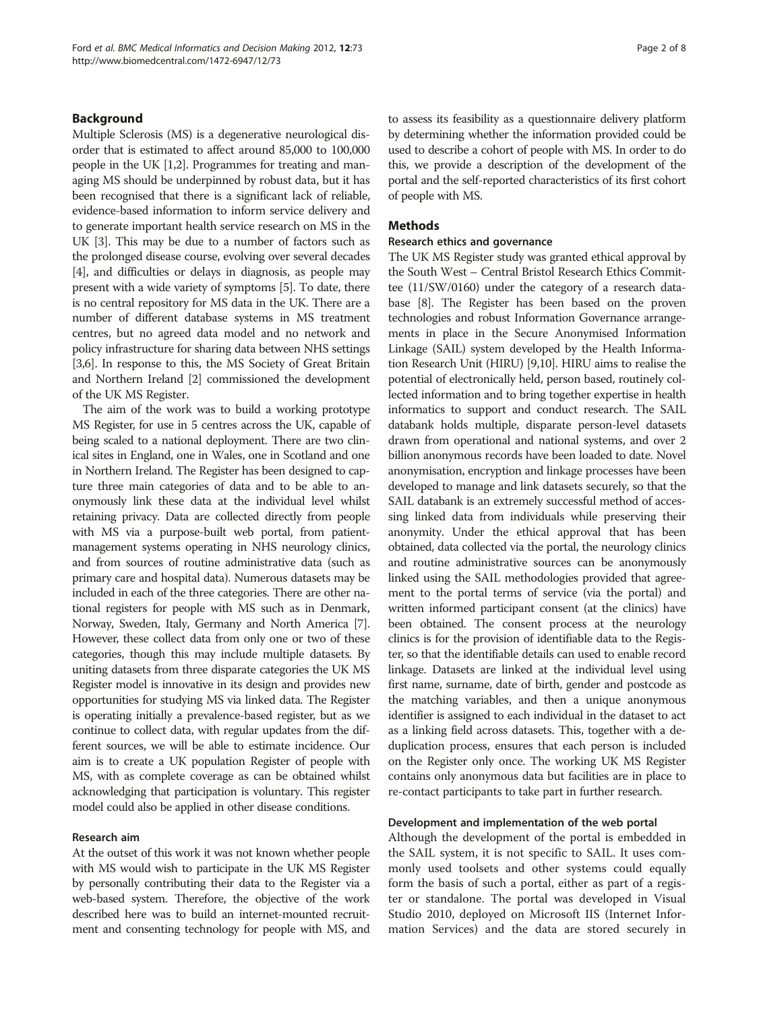# Background

Multiple Sclerosis (MS) is a degenerative neurological disorder that is estimated to affect around 85,000 to 100,000 people in the UK [\[1,2\]](#page-7-0). Programmes for treating and managing MS should be underpinned by robust data, but it has been recognised that there is a significant lack of reliable, evidence-based information to inform service delivery and to generate important health service research on MS in the UK [\[3\]](#page-7-0). This may be due to a number of factors such as the prolonged disease course, evolving over several decades [[4](#page-7-0)], and difficulties or delays in diagnosis, as people may present with a wide variety of symptoms [\[5](#page-7-0)]. To date, there is no central repository for MS data in the UK. There are a number of different database systems in MS treatment centres, but no agreed data model and no network and policy infrastructure for sharing data between NHS settings [[3,6](#page-7-0)]. In response to this, the MS Society of Great Britain and Northern Ireland [[2\]](#page-7-0) commissioned the development of the UK MS Register.

The aim of the work was to build a working prototype MS Register, for use in 5 centres across the UK, capable of being scaled to a national deployment. There are two clinical sites in England, one in Wales, one in Scotland and one in Northern Ireland. The Register has been designed to capture three main categories of data and to be able to anonymously link these data at the individual level whilst retaining privacy. Data are collected directly from people with MS via a purpose-built web portal, from patientmanagement systems operating in NHS neurology clinics, and from sources of routine administrative data (such as primary care and hospital data). Numerous datasets may be included in each of the three categories. There are other national registers for people with MS such as in Denmark, Norway, Sweden, Italy, Germany and North America [[7](#page-7-0)]. However, these collect data from only one or two of these categories, though this may include multiple datasets. By uniting datasets from three disparate categories the UK MS Register model is innovative in its design and provides new opportunities for studying MS via linked data. The Register is operating initially a prevalence-based register, but as we continue to collect data, with regular updates from the different sources, we will be able to estimate incidence. Our aim is to create a UK population Register of people with MS, with as complete coverage as can be obtained whilst acknowledging that participation is voluntary. This register model could also be applied in other disease conditions.

#### Research aim

At the outset of this work it was not known whether people with MS would wish to participate in the UK MS Register by personally contributing their data to the Register via a web-based system. Therefore, the objective of the work described here was to build an internet-mounted recruitment and consenting technology for people with MS, and

to assess its feasibility as a questionnaire delivery platform by determining whether the information provided could be used to describe a cohort of people with MS. In order to do this, we provide a description of the development of the portal and the self-reported characteristics of its first cohort of people with MS.

# **Methods**

#### Research ethics and governance

The UK MS Register study was granted ethical approval by the South West – Central Bristol Research Ethics Committee (11/SW/0160) under the category of a research database [[8\]](#page-7-0). The Register has been based on the proven technologies and robust Information Governance arrangements in place in the Secure Anonymised Information Linkage (SAIL) system developed by the Health Information Research Unit (HIRU) [[9,10\]](#page-7-0). HIRU aims to realise the potential of electronically held, person based, routinely collected information and to bring together expertise in health informatics to support and conduct research. The SAIL databank holds multiple, disparate person-level datasets drawn from operational and national systems, and over 2 billion anonymous records have been loaded to date. Novel anonymisation, encryption and linkage processes have been developed to manage and link datasets securely, so that the SAIL databank is an extremely successful method of accessing linked data from individuals while preserving their anonymity. Under the ethical approval that has been obtained, data collected via the portal, the neurology clinics and routine administrative sources can be anonymously linked using the SAIL methodologies provided that agreement to the portal terms of service (via the portal) and written informed participant consent (at the clinics) have been obtained. The consent process at the neurology clinics is for the provision of identifiable data to the Register, so that the identifiable details can used to enable record linkage. Datasets are linked at the individual level using first name, surname, date of birth, gender and postcode as the matching variables, and then a unique anonymous identifier is assigned to each individual in the dataset to act as a linking field across datasets. This, together with a deduplication process, ensures that each person is included on the Register only once. The working UK MS Register contains only anonymous data but facilities are in place to re-contact participants to take part in further research.

#### Development and implementation of the web portal

Although the development of the portal is embedded in the SAIL system, it is not specific to SAIL. It uses commonly used toolsets and other systems could equally form the basis of such a portal, either as part of a register or standalone. The portal was developed in Visual Studio 2010, deployed on Microsoft IIS (Internet Information Services) and the data are stored securely in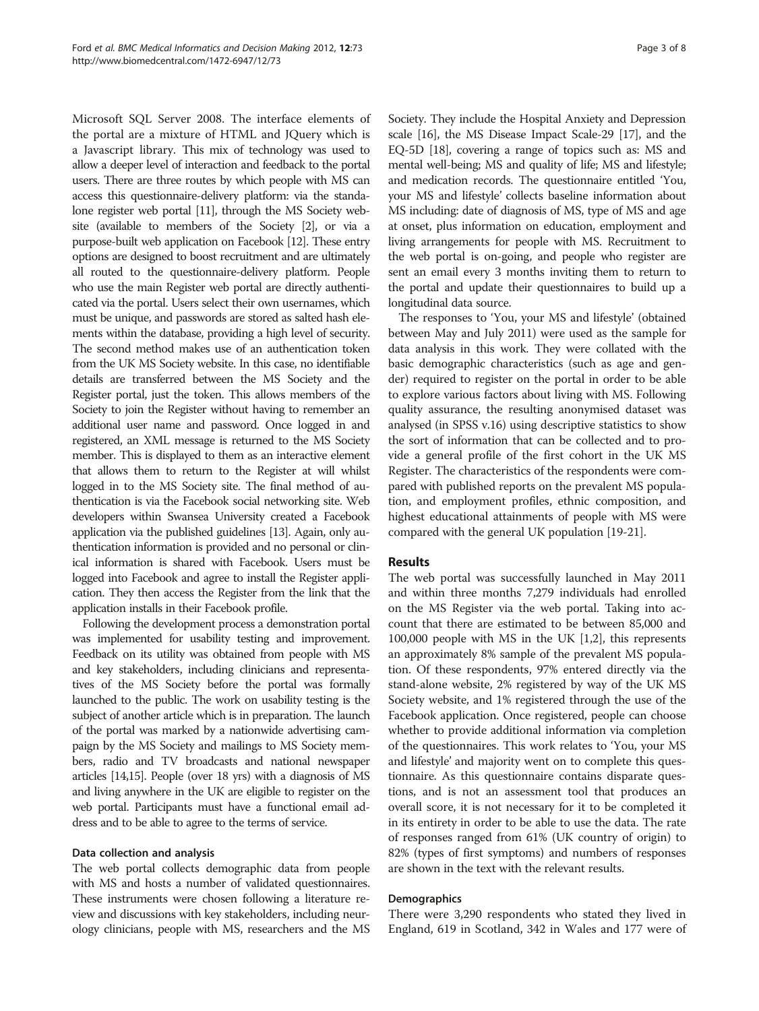Microsoft SQL Server 2008. The interface elements of the portal are a mixture of HTML and JQuery which is a Javascript library. This mix of technology was used to allow a deeper level of interaction and feedback to the portal users. There are three routes by which people with MS can access this questionnaire-delivery platform: via the standalone register web portal [\[11\]](#page-7-0), through the MS Society website (available to members of the Society [[2](#page-7-0)], or via a purpose-built web application on Facebook [\[12](#page-7-0)]. These entry options are designed to boost recruitment and are ultimately all routed to the questionnaire-delivery platform. People who use the main Register web portal are directly authenticated via the portal. Users select their own usernames, which must be unique, and passwords are stored as salted hash elements within the database, providing a high level of security. The second method makes use of an authentication token from the UK MS Society website. In this case, no identifiable details are transferred between the MS Society and the Register portal, just the token. This allows members of the Society to join the Register without having to remember an additional user name and password. Once logged in and registered, an XML message is returned to the MS Society member. This is displayed to them as an interactive element that allows them to return to the Register at will whilst logged in to the MS Society site. The final method of authentication is via the Facebook social networking site. Web developers within Swansea University created a Facebook application via the published guidelines [\[13](#page-7-0)]. Again, only authentication information is provided and no personal or clinical information is shared with Facebook. Users must be logged into Facebook and agree to install the Register application. They then access the Register from the link that the application installs in their Facebook profile.

Following the development process a demonstration portal was implemented for usability testing and improvement. Feedback on its utility was obtained from people with MS and key stakeholders, including clinicians and representatives of the MS Society before the portal was formally launched to the public. The work on usability testing is the subject of another article which is in preparation. The launch of the portal was marked by a nationwide advertising campaign by the MS Society and mailings to MS Society members, radio and TV broadcasts and national newspaper articles [[14,15](#page-7-0)]. People (over 18 yrs) with a diagnosis of MS and living anywhere in the UK are eligible to register on the web portal. Participants must have a functional email address and to be able to agree to the terms of service.

# Data collection and analysis

The web portal collects demographic data from people with MS and hosts a number of validated questionnaires. These instruments were chosen following a literature review and discussions with key stakeholders, including neurology clinicians, people with MS, researchers and the MS Society. They include the Hospital Anxiety and Depression scale [[16](#page-7-0)], the MS Disease Impact Scale-29 [[17](#page-7-0)], and the EQ-5D [\[18](#page-7-0)], covering a range of topics such as: MS and mental well-being; MS and quality of life; MS and lifestyle; and medication records. The questionnaire entitled 'You, your MS and lifestyle' collects baseline information about MS including: date of diagnosis of MS, type of MS and age at onset, plus information on education, employment and living arrangements for people with MS. Recruitment to the web portal is on-going, and people who register are sent an email every 3 months inviting them to return to the portal and update their questionnaires to build up a longitudinal data source.

The responses to 'You, your MS and lifestyle' (obtained between May and July 2011) were used as the sample for data analysis in this work. They were collated with the basic demographic characteristics (such as age and gender) required to register on the portal in order to be able to explore various factors about living with MS. Following quality assurance, the resulting anonymised dataset was analysed (in SPSS v.16) using descriptive statistics to show the sort of information that can be collected and to provide a general profile of the first cohort in the UK MS Register. The characteristics of the respondents were compared with published reports on the prevalent MS population, and employment profiles, ethnic composition, and highest educational attainments of people with MS were compared with the general UK population [\[19-21](#page-7-0)].

# **Results**

The web portal was successfully launched in May 2011 and within three months 7,279 individuals had enrolled on the MS Register via the web portal. Taking into account that there are estimated to be between 85,000 and 100,000 people with MS in the UK [\[1,2\]](#page-7-0), this represents an approximately 8% sample of the prevalent MS population. Of these respondents, 97% entered directly via the stand-alone website, 2% registered by way of the UK MS Society website, and 1% registered through the use of the Facebook application. Once registered, people can choose whether to provide additional information via completion of the questionnaires. This work relates to 'You, your MS and lifestyle' and majority went on to complete this questionnaire. As this questionnaire contains disparate questions, and is not an assessment tool that produces an overall score, it is not necessary for it to be completed it in its entirety in order to be able to use the data. The rate of responses ranged from 61% (UK country of origin) to 82% (types of first symptoms) and numbers of responses are shown in the text with the relevant results.

# **Demographics**

There were 3,290 respondents who stated they lived in England, 619 in Scotland, 342 in Wales and 177 were of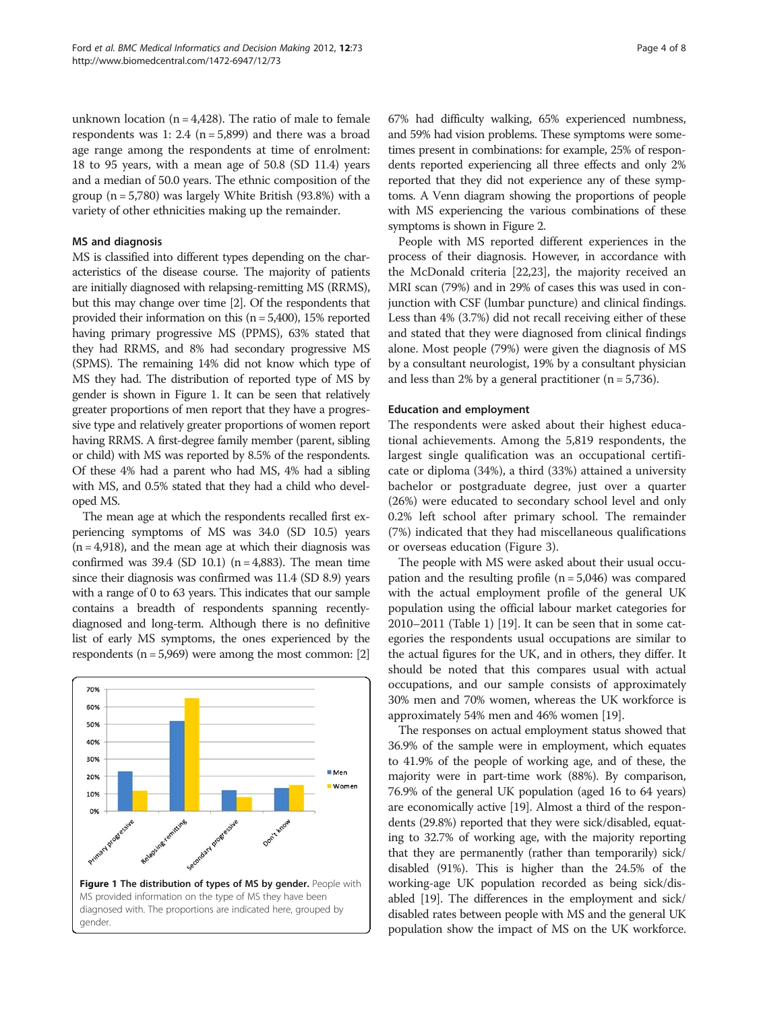unknown location ( $n = 4,428$ ). The ratio of male to female respondents was 1: 2.4 ( $n = 5,899$ ) and there was a broad age range among the respondents at time of enrolment: 18 to 95 years, with a mean age of 50.8 (SD 11.4) years and a median of 50.0 years. The ethnic composition of the group  $(n = 5,780)$  was largely White British  $(93.8%)$  with a variety of other ethnicities making up the remainder.

#### MS and diagnosis

MS is classified into different types depending on the characteristics of the disease course. The majority of patients are initially diagnosed with relapsing-remitting MS (RRMS), but this may change over time [\[2](#page-7-0)]. Of the respondents that provided their information on this  $(n = 5,400)$ , 15% reported having primary progressive MS (PPMS), 63% stated that they had RRMS, and 8% had secondary progressive MS (SPMS). The remaining 14% did not know which type of MS they had. The distribution of reported type of MS by gender is shown in Figure 1. It can be seen that relatively greater proportions of men report that they have a progressive type and relatively greater proportions of women report having RRMS. A first-degree family member (parent, sibling or child) with MS was reported by 8.5% of the respondents. Of these 4% had a parent who had MS, 4% had a sibling with MS, and 0.5% stated that they had a child who developed MS.

The mean age at which the respondents recalled first experiencing symptoms of MS was 34.0 (SD 10.5) years  $(n = 4.918)$ , and the mean age at which their diagnosis was confirmed was  $39.4$  (SD 10.1) (n = 4,883). The mean time since their diagnosis was confirmed was 11.4 (SD 8.9) years with a range of 0 to 63 years. This indicates that our sample contains a breadth of respondents spanning recentlydiagnosed and long-term. Although there is no definitive list of early MS symptoms, the ones experienced by the respondents ( $n = 5,969$ ) were among the most common: [[2](#page-7-0)]



67% had difficulty walking, 65% experienced numbness, and 59% had vision problems. These symptoms were sometimes present in combinations: for example, 25% of respondents reported experiencing all three effects and only 2% reported that they did not experience any of these symptoms. A Venn diagram showing the proportions of people with MS experiencing the various combinations of these symptoms is shown in Figure [2](#page-4-0).

People with MS reported different experiences in the process of their diagnosis. However, in accordance with the McDonald criteria [\[22,23](#page-7-0)], the majority received an MRI scan (79%) and in 29% of cases this was used in conjunction with CSF (lumbar puncture) and clinical findings. Less than 4% (3.7%) did not recall receiving either of these and stated that they were diagnosed from clinical findings alone. Most people (79%) were given the diagnosis of MS by a consultant neurologist, 19% by a consultant physician and less than 2% by a general practitioner ( $n = 5,736$ ).

#### Education and employment

The respondents were asked about their highest educational achievements. Among the 5,819 respondents, the largest single qualification was an occupational certificate or diploma (34%), a third (33%) attained a university bachelor or postgraduate degree, just over a quarter (26%) were educated to secondary school level and only 0.2% left school after primary school. The remainder (7%) indicated that they had miscellaneous qualifications or overseas education (Figure [3](#page-4-0)).

The people with MS were asked about their usual occupation and the resulting profile  $(n = 5,046)$  was compared with the actual employment profile of the general UK population using the official labour market categories for 2010–2011 (Table [1\)](#page-5-0) [[19](#page-7-0)]. It can be seen that in some categories the respondents usual occupations are similar to the actual figures for the UK, and in others, they differ. It should be noted that this compares usual with actual occupations, and our sample consists of approximately 30% men and 70% women, whereas the UK workforce is approximately 54% men and 46% women [\[19](#page-7-0)].

The responses on actual employment status showed that 36.9% of the sample were in employment, which equates to 41.9% of the people of working age, and of these, the majority were in part-time work (88%). By comparison, 76.9% of the general UK population (aged 16 to 64 years) are economically active [\[19\]](#page-7-0). Almost a third of the respondents (29.8%) reported that they were sick/disabled, equating to 32.7% of working age, with the majority reporting that they are permanently (rather than temporarily) sick/ disabled (91%). This is higher than the 24.5% of the working-age UK population recorded as being sick/disabled [\[19](#page-7-0)]. The differences in the employment and sick/ disabled rates between people with MS and the general UK population show the impact of MS on the UK workforce.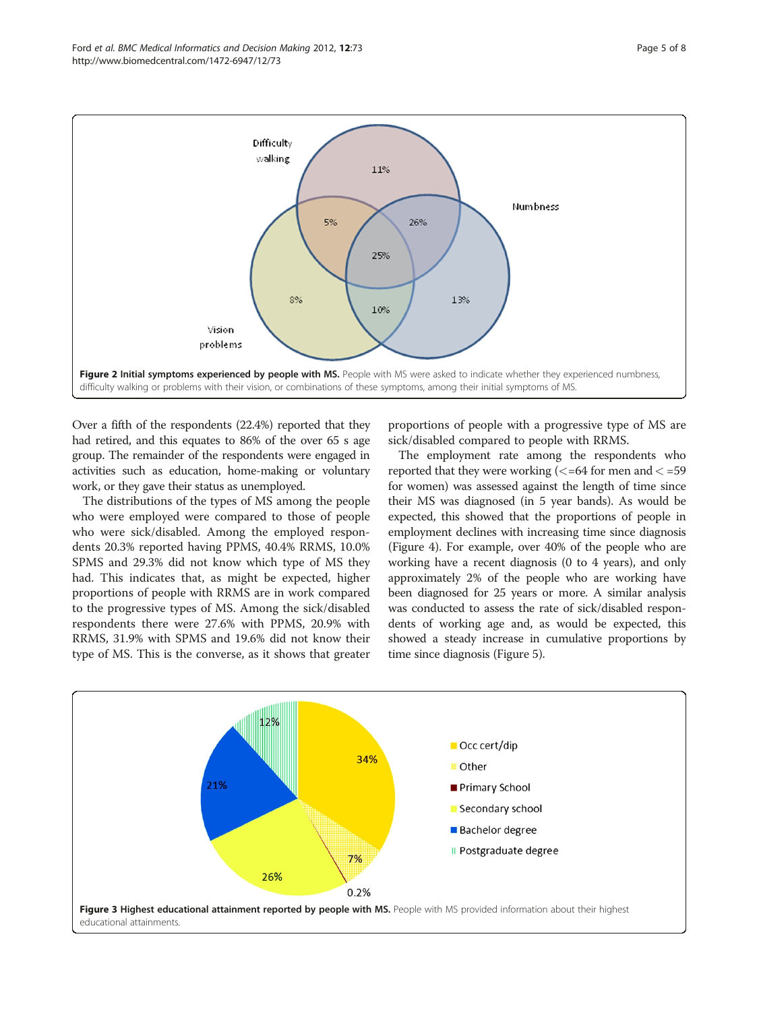<span id="page-4-0"></span>

Over a fifth of the respondents (22.4%) reported that they had retired, and this equates to 86% of the over 65 s age group. The remainder of the respondents were engaged in activities such as education, home-making or voluntary work, or they gave their status as unemployed.

The distributions of the types of MS among the people who were employed were compared to those of people who were sick/disabled. Among the employed respondents 20.3% reported having PPMS, 40.4% RRMS, 10.0% SPMS and 29.3% did not know which type of MS they had. This indicates that, as might be expected, higher proportions of people with RRMS are in work compared to the progressive types of MS. Among the sick/disabled respondents there were 27.6% with PPMS, 20.9% with RRMS, 31.9% with SPMS and 19.6% did not know their type of MS. This is the converse, as it shows that greater proportions of people with a progressive type of MS are sick/disabled compared to people with RRMS.

The employment rate among the respondents who reported that they were working  $\ll$  =64 for men and  $\ll$  =59 for women) was assessed against the length of time since their MS was diagnosed (in 5 year bands). As would be expected, this showed that the proportions of people in employment declines with increasing time since diagnosis (Figure [4](#page-5-0)). For example, over 40% of the people who are working have a recent diagnosis (0 to 4 years), and only approximately 2% of the people who are working have been diagnosed for 25 years or more. A similar analysis was conducted to assess the rate of sick/disabled respondents of working age and, as would be expected, this showed a steady increase in cumulative proportions by time since diagnosis (Figure [5\)](#page-6-0).

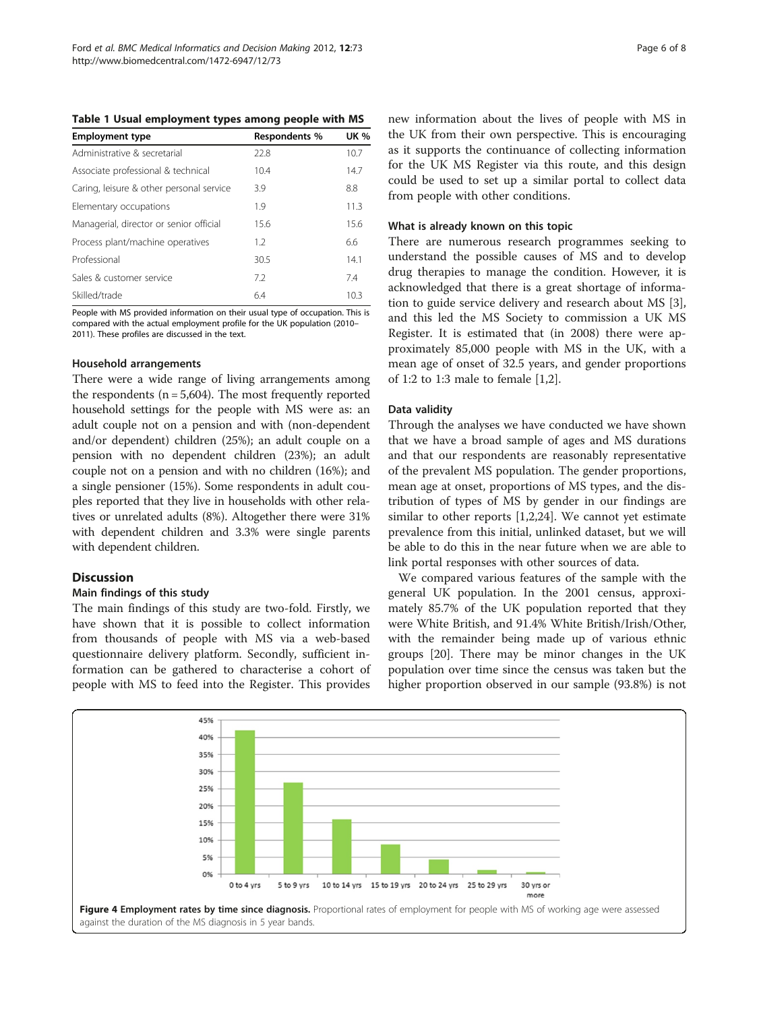<span id="page-5-0"></span>Table 1 Usual employment types among people with MS

| <b>Employment type</b>                   | Respondents % | <b>UK %</b> |
|------------------------------------------|---------------|-------------|
|                                          |               |             |
| Administrative & secretarial             | 22.8          | 10.7        |
| Associate professional & technical       | 10.4          | 14.7        |
| Caring, leisure & other personal service | 3.9           | 8.8         |
| Elementary occupations                   | 1.9           | 11.3        |
| Managerial, director or senior official  | 15.6          | 15.6        |
| Process plant/machine operatives         | 1.2           | 6.6         |
| Professional                             | 30.5          | 14.1        |
| Sales & customer service                 | 7.2           | 7.4         |
| Skilled/trade                            | 6.4           | 10.3        |

People with MS provided information on their usual type of occupation. This is compared with the actual employment profile for the UK population (2010– 2011). These profiles are discussed in the text.

# Household arrangements

There were a wide range of living arrangements among the respondents ( $n = 5,604$ ). The most frequently reported household settings for the people with MS were as: an adult couple not on a pension and with (non-dependent and/or dependent) children (25%); an adult couple on a pension with no dependent children (23%); an adult couple not on a pension and with no children (16%); and a single pensioner (15%). Some respondents in adult couples reported that they live in households with other relatives or unrelated adults (8%). Altogether there were 31% with dependent children and 3.3% were single parents with dependent children.

# Discussion

# Main findings of this study

The main findings of this study are two-fold. Firstly, we have shown that it is possible to collect information from thousands of people with MS via a web-based questionnaire delivery platform. Secondly, sufficient information can be gathered to characterise a cohort of people with MS to feed into the Register. This provides

new information about the lives of people with MS in the UK from their own perspective. This is encouraging as it supports the continuance of collecting information for the UK MS Register via this route, and this design could be used to set up a similar portal to collect data from people with other conditions.

#### What is already known on this topic

There are numerous research programmes seeking to understand the possible causes of MS and to develop drug therapies to manage the condition. However, it is acknowledged that there is a great shortage of information to guide service delivery and research about MS [\[3](#page-7-0)], and this led the MS Society to commission a UK MS Register. It is estimated that (in 2008) there were approximately 85,000 people with MS in the UK, with a mean age of onset of 32.5 years, and gender proportions of 1:2 to 1:3 male to female [\[1,2](#page-7-0)].

#### Data validity

Through the analyses we have conducted we have shown that we have a broad sample of ages and MS durations and that our respondents are reasonably representative of the prevalent MS population. The gender proportions, mean age at onset, proportions of MS types, and the distribution of types of MS by gender in our findings are similar to other reports [[1,2,24\]](#page-7-0). We cannot yet estimate prevalence from this initial, unlinked dataset, but we will be able to do this in the near future when we are able to link portal responses with other sources of data.

We compared various features of the sample with the general UK population. In the 2001 census, approximately 85.7% of the UK population reported that they were White British, and 91.4% White British/Irish/Other, with the remainder being made up of various ethnic groups [[20\]](#page-7-0). There may be minor changes in the UK population over time since the census was taken but the higher proportion observed in our sample (93.8%) is not

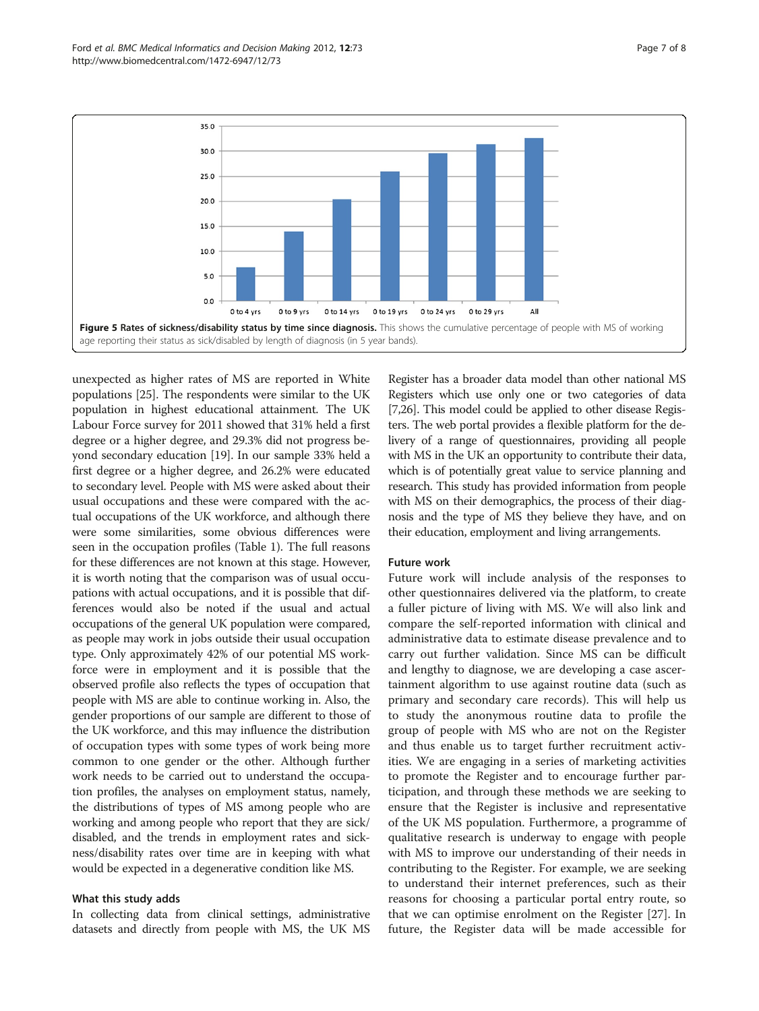<span id="page-6-0"></span>

unexpected as higher rates of MS are reported in White populations [[25](#page-7-0)]. The respondents were similar to the UK population in highest educational attainment. The UK Labour Force survey for 2011 showed that 31% held a first degree or a higher degree, and 29.3% did not progress beyond secondary education [\[19](#page-7-0)]. In our sample 33% held a first degree or a higher degree, and 26.2% were educated to secondary level. People with MS were asked about their usual occupations and these were compared with the actual occupations of the UK workforce, and although there were some similarities, some obvious differences were seen in the occupation profiles (Table [1](#page-5-0)). The full reasons for these differences are not known at this stage. However, it is worth noting that the comparison was of usual occupations with actual occupations, and it is possible that differences would also be noted if the usual and actual occupations of the general UK population were compared, as people may work in jobs outside their usual occupation type. Only approximately 42% of our potential MS workforce were in employment and it is possible that the observed profile also reflects the types of occupation that people with MS are able to continue working in. Also, the gender proportions of our sample are different to those of the UK workforce, and this may influence the distribution of occupation types with some types of work being more common to one gender or the other. Although further work needs to be carried out to understand the occupation profiles, the analyses on employment status, namely, the distributions of types of MS among people who are working and among people who report that they are sick/ disabled, and the trends in employment rates and sickness/disability rates over time are in keeping with what would be expected in a degenerative condition like MS.

# What this study adds

In collecting data from clinical settings, administrative datasets and directly from people with MS, the UK MS

Register has a broader data model than other national MS Registers which use only one or two categories of data [[7,26](#page-7-0)]. This model could be applied to other disease Registers. The web portal provides a flexible platform for the delivery of a range of questionnaires, providing all people with MS in the UK an opportunity to contribute their data, which is of potentially great value to service planning and research. This study has provided information from people with MS on their demographics, the process of their diagnosis and the type of MS they believe they have, and on their education, employment and living arrangements.

#### Future work

Future work will include analysis of the responses to other questionnaires delivered via the platform, to create a fuller picture of living with MS. We will also link and compare the self-reported information with clinical and administrative data to estimate disease prevalence and to carry out further validation. Since MS can be difficult and lengthy to diagnose, we are developing a case ascertainment algorithm to use against routine data (such as primary and secondary care records). This will help us to study the anonymous routine data to profile the group of people with MS who are not on the Register and thus enable us to target further recruitment activities. We are engaging in a series of marketing activities to promote the Register and to encourage further participation, and through these methods we are seeking to ensure that the Register is inclusive and representative of the UK MS population. Furthermore, a programme of qualitative research is underway to engage with people with MS to improve our understanding of their needs in contributing to the Register. For example, we are seeking to understand their internet preferences, such as their reasons for choosing a particular portal entry route, so that we can optimise enrolment on the Register [\[27\]](#page-7-0). In future, the Register data will be made accessible for